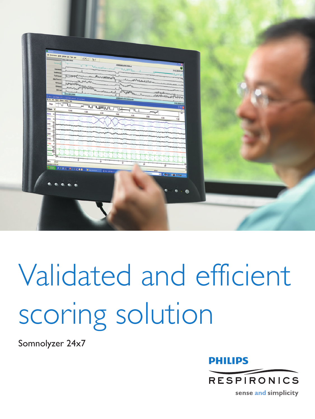| So persons from point per fun pe-<br><b>BALZERS</b><br><b>Survey of Co</b><br>−<br>Detailers of                                                                                           | $\frac{ \mathbf{a} \mathbf{a} }{ \mathbf{a} \mathbf{a} }$<br>ADECOMMENDED<br>V U Welcombineway                                    | 244.000.000                                                                                                                                                                                                                                                                                                                                         |  |
|-------------------------------------------------------------------------------------------------------------------------------------------------------------------------------------------|-----------------------------------------------------------------------------------------------------------------------------------|-----------------------------------------------------------------------------------------------------------------------------------------------------------------------------------------------------------------------------------------------------------------------------------------------------------------------------------------------------|--|
| <b>Spidetershi</b><br><b>Tarihimay</b><br><b>AltaThristin</b>                                                                                                                             | Taurpop Manus messent the MANNER<br>mensyon<br>M <sub>m</sub><br><b>REAL MANUTENT TO CONTRACT</b><br>Manufacturer of the<br>حالته | www.ashAshahahahahamu                                                                                                                                                                                                                                                                                                                               |  |
| $\frac{100 \text{ cm}}{200.082588}$<br>3. Kine - Syd High, PTT, 3. SATTET Artistic - [Trend Kine] -<br>PE Pic Britt Roof: Orlean Highly Pic<br>Stage<br>₩<br>U<br><b>Ellours</b> v<br>248 | of The Matthew 1<br><b>All Comments of the American Property</b><br>ት<br><b>Thursday</b><br>╘<br>TГ                               | ummanlunne<br>popped blome general wall<br>244,209.93                                                                                                                                                                                                                                                                                               |  |
| REOG &<br>LEOG 6<br>cam<br><b>COLA</b><br>2002                                                                                                                                            | 148<br>2AB<br>3.444<br>4.488                                                                                                      | ∼<br>5.488<br>444<br>7.46                                                                                                                                                                                                                                                                                                                           |  |
| nas<br>date<br>뉀<br>詣                                                                                                                                                                     |                                                                                                                                   |                                                                                                                                                                                                                                                                                                                                                     |  |
| 38 s. 2 s)<br>None colv. Moless Shown                                                                                                                                                     | ÷<br>÷<br><b>Net-ansu</b>                                                                                                         | Ŧ<br>Ŧ<br><b>Infact</b>                                                                                                                                                                                                                                                                                                                             |  |
| $\mathcal{L}(\mathcal{L}) = \mathcal{L}(\mathcal{L})$<br>0, 0, 0                                                                                                                          | ٠                                                                                                                                 | <b>DE 640 - 681 - 681 - 11</b>                                                                                                                                                                                                                                                                                                                      |  |
|                                                                                                                                                                                           |                                                                                                                                   | $\begin{picture}(20,20) \put(0,0){\line(1,0){10}} \put(15,0){\line(1,0){10}} \put(15,0){\line(1,0){10}} \put(15,0){\line(1,0){10}} \put(15,0){\line(1,0){10}} \put(15,0){\line(1,0){10}} \put(15,0){\line(1,0){10}} \put(15,0){\line(1,0){10}} \put(15,0){\line(1,0){10}} \put(15,0){\line(1,0){10}} \put(15,0){\line(1,0){10}} \put(15,0){\line(1$ |  |

# Validated and efficient scoring solution

Somnolyzer 24x7



sense and simplicity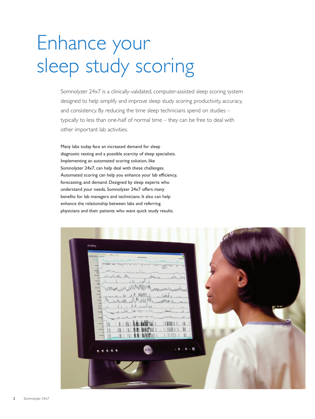## Enhance your sleep study scoring

Somnolyzer 24x7 is a clinically-validated, computer-assisted sleep scoring system designed to help simplify and improve sleep study scoring productivity, accuracy, and consistency. By reducing the time sleep technicians spend on studies – typically to less than one-half of normal time – they can be free to deal with other important lab activities.

Many labs today face an increased demand for sleep diagnostic testing and a possible scarcity of sleep specialists. Implementing an automated scoring solution, like Somnolyzer 24x7, can help deal with these challenges. Automated scoring can help you enhance your lab efficiency, forecasting, and demand. Designed by sleep experts who understand your needs, Somnolyzer 24x7 offers many benefits for lab managers and technicians. It also can help enhance the relationship between labs and referring physicians and their patients who want quick study results.

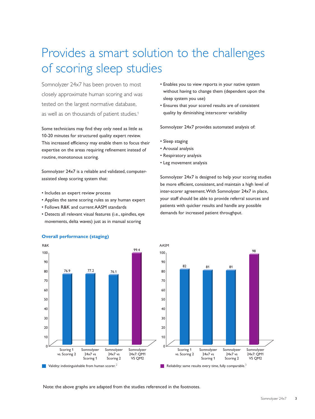### Provides a smart solution to the challenges of scoring sleep studies

Somnolyzer 24x7 has been proven to most closely approximate human scoring and was tested on the largest normative database, as well as on thousands of patient studies.1

Some technicians may find they only need as little as 10-20 minutes for structured quality expert review. This increased efficiency may enable them to focus their expertise on the areas requiring refinement instead of routine, monotonous scoring.

Somnolyzer 24x7 is a reliable and validated, computerassisted sleep scoring system that:

- Includes an expert review process
- Applies the same scoring rules as any human expert
- Follows R&K and current AASM standards
- Detects all relevant visual features (i.e., spindles, eye movements, delta waves) just as in manual scoring
- Enables you to view reports in your native system without having to change them (dependent upon the sleep system you use)
- Ensures that your scored results are of consistent quality by diminishing interscorer variability

Somnolyzer 24x7 provides automated analysis of:

- Sleep staging
- Arousal analysis
- Respiratory analysis
- Leg movement analysis

Somnolyzer 24x7 is designed to help your scoring studies be more efficient, consistent, and maintain a high level of inter-scorer agreement. With Somnolyzer 24x7 in place, your staff should be able to provide referral sources and patients with quicker results and handle any possible demands for increased patient throughput.





Note: the above graphs are adapted from the studies referenced in the footnotes.

#### **Overall performance (staging)**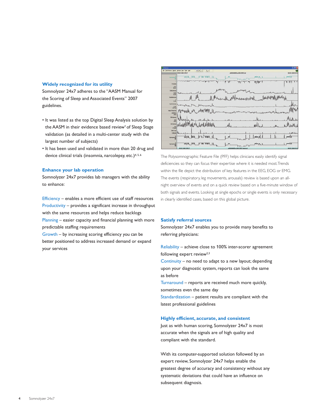#### **Widely recognized for its utility**

Somnolyzer 24x7 adheres to the "AASM Manual for the Scoring of Sleep and Associated Events" 2007 guidelines.

- It was listed as the top Digital Sleep Analysis solution by the AASM in their evidence based review<sup>1</sup> of Sleep Stage validation (as detailed in a multi-center study with the largest number of subjects)
- It has been used and validated in more than 20 drug and device clinical trials (insomnia, narcolepsy, etc.)<sup>4,5,6</sup>

#### **Enhance your lab operation**

Somnolyzer 24x7 provides lab managers with the ability to enhance:

Efficiency – enables a more efficient use of staff resources Productivity – provides a significant increase in throughput with the same resources and helps reduce backlogs Planning – easier capacity and financial planning with more predictable staffing requirements

Growth – by increasing scoring efficiency you can be better positioned to address increased demand or expand your services



The Polysomnographic Feature File (PFF) helps clinicians easily identify signal deficiencies so they can focus their expertise where it is needed most. Trends within the file depict the distribution of key features in the EEG, EOG or EMG. The events (respiratory, leg movements, arousals) review is based upon an allnight overview of events and on a quick review based on a five-minute window of both signals and events. Looking at single epochs or single events is only necessary in clearly identified cases, based on this global picture.

#### **Satisfy referral sources**

Somnolyzer 24x7 enables you to provide many benefits to referring physicians:

Reliability – achieve close to 100% inter-scorer agreement following expert review $2,3$ 

Continuity – no need to adapt to a new layout; depending upon your diagnostic system, reports can look the same as before

Turnaround – reports are received much more quickly, sometimes even the same day

Standardization – patient results are compliant with the latest professional guidelines

#### **Highly efficient, accurate, and consistent**

Just as with human scoring, Somnolyzer 24x7 is most accurate when the signals are of high quality and compliant with the standard.

With its computer-supported solution followed by an expert review, Somnolyzer 24x7 helps enable the greatest degree of accuracy and consistency without any systematic deviations that could have an influence on subsequent diagnosis.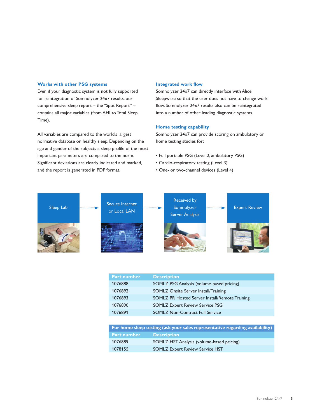#### **Works with other PSG systems**

Even if your diagnostic system is not fully supported for reintegration of Somnolyzer 24x7 results, our comprehensive sleep report – the "Spot Report" – contains all major variables (from AHI to Total Sleep Time).

All variables are compared to the world's largest normative database on healthy sleep. Depending on the age and gender of the subjects a sleep profile of the most important parameters are compared to the norm. Significant deviations are clearly indicated and marked, and the report is generated in PDF format.

#### **Integrated work flow**

Somnolyzer 24x7 can directly interface with Alice Sleepware so that the user does not have to change work flow. Somnolyzer 24x7 results also can be reintegrated into a number of other leading diagnostic systems.

#### **Home testing capability**

Somnolyzer 24x7 can provide scoring on ambulatory or home testing studies for:

- Full portable PSG (Level 2; ambulatory PSG)
- Cardio-respiratory testing (Level 3)
- One- or two-channel devices (Level 4)



| <b>Description</b>                             |
|------------------------------------------------|
| SOMLZ PSG Analysis (volume-based pricing)      |
| SOMLZ Onsite Server Install/Training           |
| SOMLZ PR Hosted Server Install/Remote Training |
| <b>SOMLZ Expert Review Service PSG</b>         |
| <b>SOMLZ Non-Contract Full Service</b>         |
|                                                |

| For home sleep testing (ask your sales representative regarding availability) |                                           |  |
|-------------------------------------------------------------------------------|-------------------------------------------|--|
| <b>Part number</b>                                                            | <b>Description</b>                        |  |
| 1076889                                                                       | SOMLZ HST Analysis (volume-based pricing) |  |
| 1078155                                                                       | <b>SOMLZ Expert Review Service HST</b>    |  |